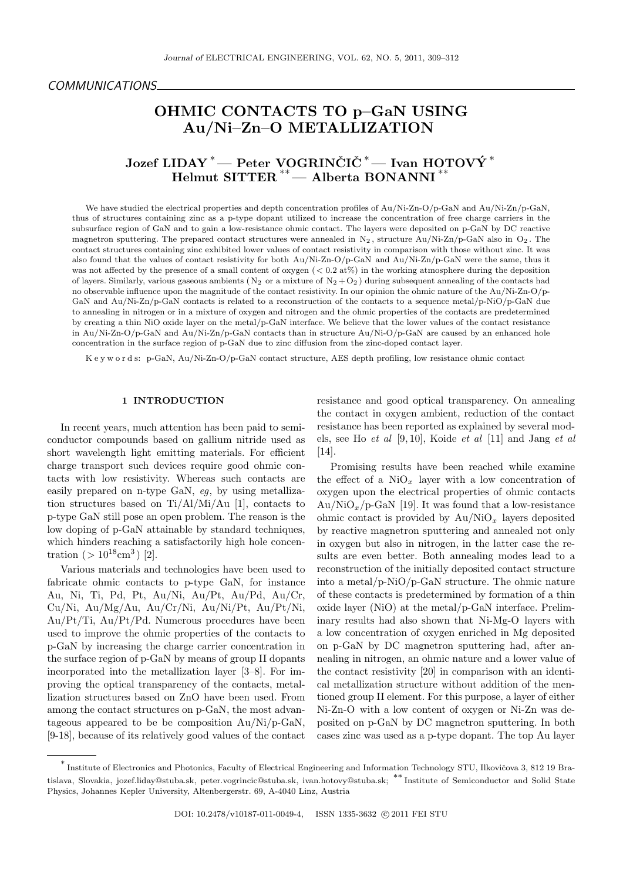# **OHMIC CONTACTS TO p–GaN USING Au/Ni–Zn–O METALLIZATION**

## $\bf{Jozef\ LIDAY}^*$ — Peter  $\bf{VOGRINČIČ}^*$ — Ivan  $\bf{HOTOVÝ}^*$ **Helmut SITTER** *∗∗***— Alberta BONANNI** *∗∗*

We have studied the electrical properties and depth concentration profiles of Au/Ni-Zn-O/p-GaN and Au/Ni-Zn/p-GaN, thus of structures containing zinc as a p-type dopant utilized to increase the concentration of free charge carriers in the subsurface region of GaN and to gain a low-resistance ohmic contact. The layers were deposited on p-GaN by DC reactive magnetron sputtering. The prepared contact structures were annealed in  $N_2$ , structure Au/Ni-Zn/p-GaN also in  $O_2$ . The contact structures containing zinc exhibited lower values of contact resistivity in comparison with those without zinc. It was also found that the values of contact resistivity for both Au/Ni-Zn-O*/*p-GaN and Au/Ni-Zn/p-GaN were the same, thus it was not affected by the presence of a small content of oxygen ( *<* 0*.*2 at%) in the working atmosphere during the deposition of layers. Similarly, various gaseous ambients ( $N_2$  or a mixture of  $N_2 + O_2$ ) during subsequent annealing of the contacts had no observable influence upon the magnitude of the contact resistivity. In our opinion the ohmic nature of the Au/Ni-Zn-O/p-GaN and Au/Ni-Zn/p-GaN contacts is related to a reconstruction of the contacts to a sequence metal/p-NiO/p-GaN due to annealing in nitrogen or in a mixture of oxygen and nitrogen and the ohmic properties of the contacts are predetermined by creating a thin NiO oxide layer on the metal/p-GaN interface. We believe that the lower values of the contact resistance in Au/Ni-Zn-O/p-GaN and Au/Ni-Zn/p-GaN contacts than in structure Au/Ni-O/p-GaN are caused by an enhanced hole concentration in the surface region of p-GaN due to zinc diffusion from the zinc-doped contact layer.

K e y w o r d s: p-GaN, Au/Ni-Zn-O/p-GaN contact structure, AES depth profiling, low resistance ohmic contact

#### **1 INTRODUCTION**

In recent years, much attention has been paid to semiconductor compounds based on gallium nitride used as short wavelength light emitting materials. For efficient charge transport such devices require good ohmic contacts with low resistivity. Whereas such contacts are easily prepared on n-type GaN, *eg*, by using metallization structures based on Ti/Al/Mi/Au [1], contacts to p-type GaN still pose an open problem. The reason is the low doping of p-GaN attainable by standard techniques, which hinders reaching a satisfactorily high hole concentration  $(>10^{18} \text{cm}^3)$  [2].

Various materials and technologies have been used to fabricate ohmic contacts to p-type GaN, for instance Au, Ni, Ti, Pd, Pt, Au/Ni, Au/Pt, Au/Pd, Au/Cr, Cu/Ni, Au/Mg/Au, Au/Cr/Ni, Au/Ni/Pt, Au/Pt/Ni, Au/Pt/Ti, Au/Pt/Pd. Numerous procedures have been used to improve the ohmic properties of the contacts to p-GaN by increasing the charge carrier concentration in the surface region of p-GaN by means of group II dopants incorporated into the metallization layer [3–8]. For improving the optical transparency of the contacts, metallization structures based on ZnO have been used. From among the contact structures on p-GaN, the most advantageous appeared to be be composition Au/Ni/p-GaN, [9-18], because of its relatively good values of the contact resistance and good optical transparency. On annealing the contact in oxygen ambient, reduction of the contact resistance has been reported as explained by several models, see Ho *et al* [9, 10], Koide *et al* [11] and Jang *et al* [14].

Promising results have been reached while examine the effect of a  $\text{NiO}_x$  layer with a low concentration of oxygen upon the electrical properties of ohmic contacts Au/NiO<sub>x</sub>/p-GaN [19]. It was found that a low-resistance ohmic contact is provided by  $Au/NiO_x$  layers deposited by reactive magnetron sputtering and annealed not only in oxygen but also in nitrogen, in the latter case the results are even better. Both annealing modes lead to a reconstruction of the initially deposited contact structure into a metal/p-NiO/p-GaN structure. The ohmic nature of these contacts is predetermined by formation of a thin oxide layer (NiO) at the metal/p-GaN interface. Preliminary results had also shown that Ni-Mg-O layers with a low concentration of oxygen enriched in Mg deposited on p-GaN by DC magnetron sputtering had, after annealing in nitrogen, an ohmic nature and a lower value of the contact resistivity [20] in comparison with an identical metallization structure without addition of the mentioned group II element. For this purpose, a layer of either Ni-Zn-O with a low content of oxygen or Ni-Zn was deposited on p-GaN by DC magnetron sputtering. In both cases zinc was used as a p-type dopant. The top Au layer

*<sup>\*</sup>* Institute of Electronics and Photonics, Faculty of Electrical Engineering and Information Technology STU, Ilkovičova 3, 812 19 Bratislava, Slovakia, jozef.liday@stuba.sk, peter.vogrincic@stuba.sk, ivan.hotovy@stuba.sk; *∗∗* Institute of Semiconductor and Solid State Physics, Johannes Kepler University, Altenbergerstr. 69, A-4040 Linz, Austria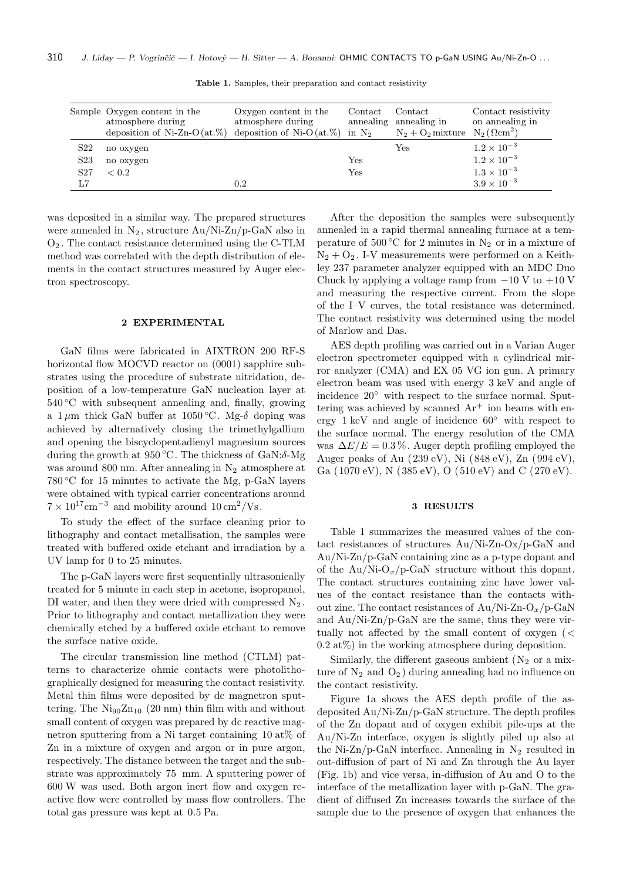|                  | Sample Oxygen content in the<br>atmosphere during<br>deposition of Ni-Zn-O(at.%) deposition of Ni-O(at.%) | Oxygen content in the<br>atmosphere during | Contact<br>in $N_2$ | Contact<br>annealing annealing in<br>$N_2 + O_2$ mixture $N_2 (\Omega \text{cm}^2)$ | Contact resistivity<br>on annealing in |
|------------------|-----------------------------------------------------------------------------------------------------------|--------------------------------------------|---------------------|-------------------------------------------------------------------------------------|----------------------------------------|
| S <sub>22</sub>  | no oxygen                                                                                                 |                                            |                     | Yes                                                                                 | $1.2 \times 10^{-3}$                   |
| S <sub>2</sub> 3 | no oxygen                                                                                                 |                                            | Yes                 |                                                                                     | $1.2 \times 10^{-3}$                   |
| S <sub>27</sub>  | ${}_{\leq 0.2}$                                                                                           |                                            | Yes                 |                                                                                     | $1.3 \times 10^{-3}$                   |
| L7               |                                                                                                           | 0.2                                        |                     |                                                                                     | $3.9 \times 10^{-3}$                   |

**Table 1.** Samples, their preparation and contact resistivity

was deposited in a similar way. The prepared structures were annealed in  $N_2$ , structure Au/Ni-Zn/p-GaN also in O<sup>2</sup> . The contact resistance determined using the C-TLM method was correlated with the depth distribution of elements in the contact structures measured by Auger electron spectroscopy.

#### **2 EXPERIMENTAL**

GaN films were fabricated in AIXTRON 200 RF-S horizontal flow MOCVD reactor on (0001) sapphire substrates using the procedure of substrate nitridation, deposition of a low-temperature GaN nucleation layer at 540 *◦*C with subsequent annealing and, finally, growing a  $1 \mu m$  thick GaN buffer at  $1050 °C$ . Mg- $\delta$  doping was achieved by alternatively closing the trimethylgallium and opening the biscyclopentadienyl magnesium sources during the growth at 950 *◦*C. The thickness of GaN:*δ*-Mg was around 800 nm. After annealing in  $N_2$  atmosphere at 780 *◦*C for 15 minutes to activate the Mg, p-GaN layers were obtained with typical carrier concentrations around <sup>7</sup> *<sup>×</sup>* <sup>10</sup><sup>17</sup>cm*−*<sup>3</sup> and mobility around 10 cm<sup>2</sup>*/*Vs.

To study the effect of the surface cleaning prior to lithography and contact metallisation, the samples were treated with buffered oxide etchant and irradiation by a UV lamp for 0 to 25 minutes.

The p-GaN layers were first sequentially ultrasonically treated for 5 minute in each step in acetone, isopropanol, DI water, and then they were dried with compressed  $N_2$ . Prior to lithography and contact metallization they were chemically etched by a buffered oxide etchant to remove the surface native oxide.

The circular transmission line method (CTLM) patterns to characterize ohmic contacts were photolithographically designed for measuring the contact resistivity. Metal thin films were deposited by dc magnetron sputtering. The  $\text{Ni}_{90}\text{Zn}_{10}$  (20 nm) thin film with and without small content of oxygen was prepared by dc reactive magnetron sputtering from a Ni target containing 10 at% of Zn in a mixture of oxygen and argon or in pure argon, respectively. The distance between the target and the substrate was approximately 75 mm. A sputtering power of 600 W was used. Both argon inert flow and oxygen reactive flow were controlled by mass flow controllers. The total gas pressure was kept at 0*.*5 Pa.

After the deposition the samples were subsequently annealed in a rapid thermal annealing furnace at a temperature of  $500\degree C$  for 2 minutes in N<sub>2</sub> or in a mixture of  $N_2 + O_2$ . I-V measurements were performed on a Keithley 237 parameter analyzer equipped with an MDC Duo Chuck by applying a voltage ramp from *−*10 V to +10 V and measuring the respective current. From the slope of the I–V curves, the total resistance was determined. The contact resistivity was determined using the model of Marlow and Das.

AES depth profiling was carried out in a Varian Auger electron spectrometer equipped with a cylindrical mirror analyzer (CMA) and EX 05 VG ion gun. A primary electron beam was used with energy 3 keV and angle of incidence 20*◦* with respect to the surface normal. Sputtering was achieved by scanned  $Ar^+$  ion beams with energy 1 keV and angle of incidence 60*◦* with respect to the surface normal. The energy resolution of the CMA was  $\Delta E/E = 0.3\%$ . Auger depth profiling employed the Auger peaks of Au ( 239 eV), Ni ( 848 eV), Zn ( 994 eV), Ga (1070 eV), N (385 eV), O (510 eV) and C (270 eV).

#### **3 RESULTS**

Table 1 summarizes the measured values of the contact resistances of structures Au/Ni-Zn-Ox/p-GaN and Au/Ni-Zn/p-GaN containing zinc as a p-type dopant and of the  $Au/Ni-O_x/p-GaN$  structure without this dopant. The contact structures containing zinc have lower values of the contact resistance than the contacts without zinc. The contact resistances of Au/Ni-Zn-O*x/*p-GaN and  $Au/Ni-Zn/p-GaN$  are the same, thus they were virtually not affected by the small content of oxygen (*<* 0*.*2 at%) in the working atmosphere during deposition.

Similarly, the different gaseous ambient  $(N_2 \text{ or a mix-})$ ture of  $N_2$  and  $O_2$ ) during annealing had no influence on the contact resistivity.

Figure 1a shows the AES depth profile of the asdeposited Au/Ni-Zn/p-GaN structure. The depth profiles of the Zn dopant and of oxygen exhibit pile-ups at the Au/Ni-Zn interface, oxygen is slightly piled up also at the Ni-Zn/p-GaN interface. Annealing in  $N_2$  resulted in out-diffusion of part of Ni and Zn through the Au layer (Fig. 1b) and vice versa, in-diffusion of Au and O to the interface of the metallization layer with p-GaN. The gradient of diffused Zn increases towards the surface of the sample due to the presence of oxygen that enhances the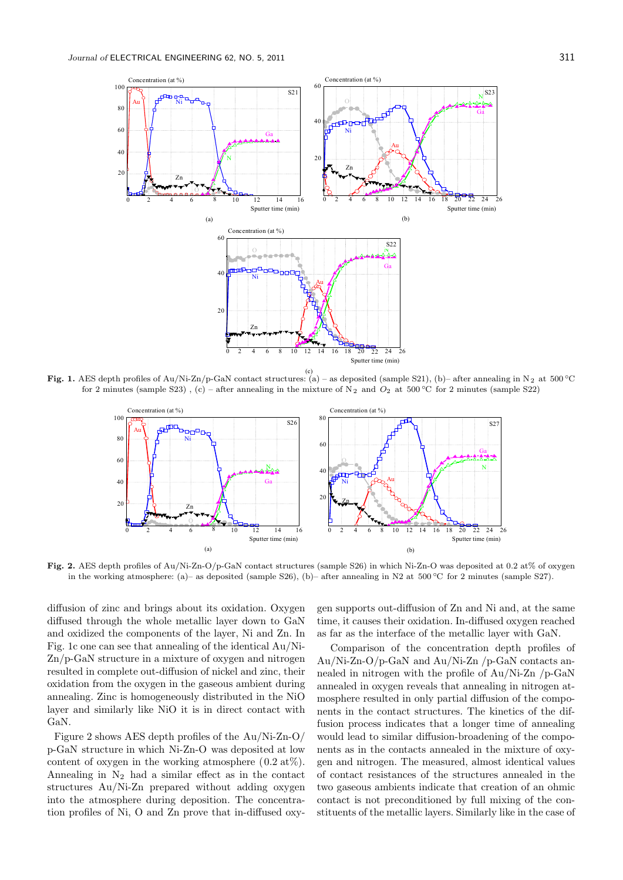

(c) **Fig. 1.** AES depth profiles of Au/Ni-Zn/p-GaN contact structures: (a) – as deposited (sample S21), (b)– after annealing in N<sup>2</sup> at 500 *◦*C for 2 minutes (sample S23) , (c) – after annealing in the mixture of N<sup>2</sup> and *O*<sup>2</sup> at 500 *◦*C for 2 minutes (sample S22)



**Fig. 2.** AES depth profiles of Au/Ni-Zn-O/p-GaN contact structures (sample S26) in which Ni-Zn-O was deposited at 0.2 at% of oxygen in the working atmosphere: (a)– as deposited (sample S26), (b)– after annealing in N2 at 500 *◦*C for 2 minutes (sample S27).

diffusion of zinc and brings about its oxidation. Oxygen diffused through the whole metallic layer down to GaN and oxidized the components of the layer, Ni and Zn. In Fig. 1c one can see that annealing of the identical Au/Ni-Zn/p-GaN structure in a mixture of oxygen and nitrogen resulted in complete out-diffusion of nickel and zinc, their oxidation from the oxygen in the gaseous ambient during annealing. Zinc is homogeneously distributed in the NiO layer and similarly like NiO it is in direct contact with GaN.

Figure 2 shows AES depth profiles of the Au/Ni-Zn-O*/* p-GaN structure in which Ni-Zn-O was deposited at low content of oxygen in the working atmosphere  $(0.2 \text{ at\%})$ . Annealing in  $N_2$  had a similar effect as in the contact structures Au/Ni-Zn prepared without adding oxygen into the atmosphere during deposition. The concentration profiles of Ni, O and Zn prove that in-diffused oxygen supports out-diffusion of Zn and Ni and, at the same time, it causes their oxidation. In-diffused oxygen reached as far as the interface of the metallic layer with GaN.

Comparison of the concentration depth profiles of Au/Ni-Zn-O*/*p-GaN and Au/Ni-Zn /p-GaN contacts annealed in nitrogen with the profile of Au/Ni-Zn /p-GaN annealed in oxygen reveals that annealing in nitrogen atmosphere resulted in only partial diffusion of the components in the contact structures. The kinetics of the diffusion process indicates that a longer time of annealing would lead to similar diffusion-broadening of the components as in the contacts annealed in the mixture of oxygen and nitrogen. The measured, almost identical values of contact resistances of the structures annealed in the two gaseous ambients indicate that creation of an ohmic contact is not preconditioned by full mixing of the constituents of the metallic layers. Similarly like in the case of